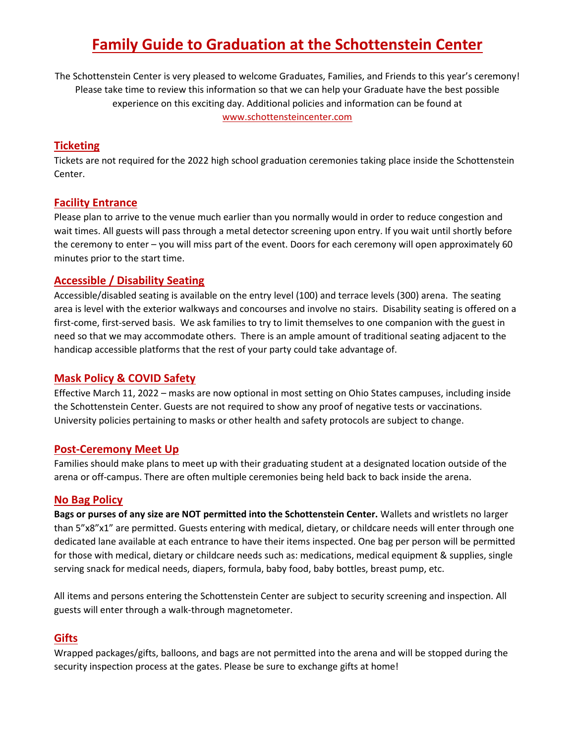# **Family Guide to Graduation at the Schottenstein Center**

The Schottenstein Center is very pleased to welcome Graduates, Families, and Friends to this year's ceremony! Please take time to review this information so that we can help your Graduate have the best possible experience on this exciting day. Additional policies and information can be found at [www.schottensteincenter.com](https://www.schottensteincenter.com/)

# **Ticketing**

Tickets are not required for the 2022 high school graduation ceremonies taking place inside the Schottenstein Center.

## **Facility Entrance**

Please plan to arrive to the venue much earlier than you normally would in order to reduce congestion and wait times. All guests will pass through a metal detector screening upon entry. If you wait until shortly before the ceremony to enter – you will miss part of the event. Doors for each ceremony will open approximately 60 minutes prior to the start time.

## **Accessible / Disability Seating**

Accessible/disabled seating is available on the entry level (100) and terrace levels (300) arena. The seating area is level with the exterior walkways and concourses and involve no stairs. Disability seating is offered on a first-come, first-served basis. We ask families to try to limit themselves to one companion with the guest in need so that we may accommodate others. There is an ample amount of traditional seating adjacent to the handicap accessible platforms that the rest of your party could take advantage of.

## **Mask Policy & COVID Safety**

Effective March 11, 2022 – masks are now optional in most setting on Ohio States campuses, including inside the Schottenstein Center. Guests are not required to show any proof of negative tests or vaccinations. University policies pertaining to masks or other health and safety protocols are subject to change.

#### **Post-Ceremony Meet Up**

Families should make plans to meet up with their graduating student at a designated location outside of the arena or off-campus. There are often multiple ceremonies being held back to back inside the arena.

#### **No Bag Policy**

**Bags or purses of any size are NOT permitted into the Schottenstein Center.** Wallets and wristlets no larger than 5"x8"x1" are permitted. Guests entering with medical, dietary, or childcare needs will enter through one dedicated lane available at each entrance to have their items inspected. One bag per person will be permitted for those with medical, dietary or childcare needs such as: medications, medical equipment & supplies, single serving snack for medical needs, diapers, formula, baby food, baby bottles, breast pump, etc.

All items and persons entering the Schottenstein Center are subject to security screening and inspection. All guests will enter through a walk-through magnetometer.

#### **Gifts**

Wrapped packages/gifts, balloons, and bags are not permitted into the arena and will be stopped during the security inspection process at the gates. Please be sure to exchange gifts at home!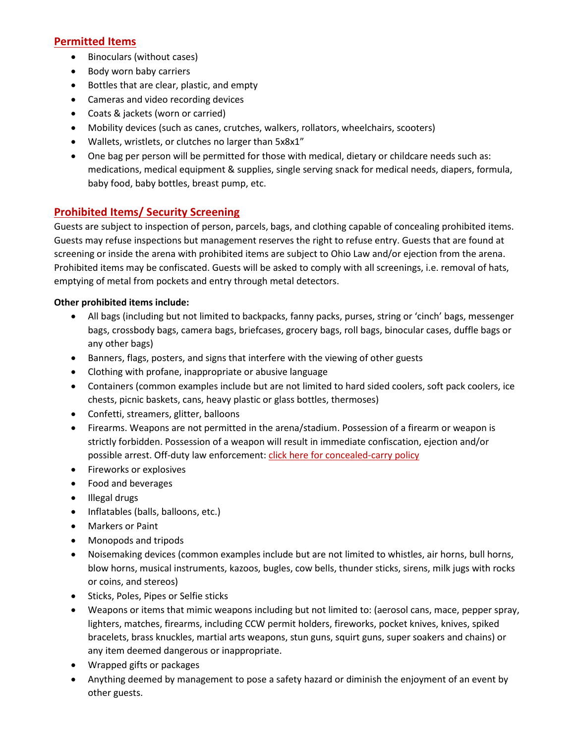# **Permitted Items**

- Binoculars (without cases)
- Body worn baby carriers
- Bottles that are clear, plastic, and empty
- Cameras and video recording devices
- Coats & jackets (worn or carried)
- Mobility devices (such as canes, crutches, walkers, rollators, wheelchairs, scooters)
- Wallets, wristlets, or clutches no larger than 5x8x1"
- One bag per person will be permitted for those with medical, dietary or childcare needs such as: medications, medical equipment & supplies, single serving snack for medical needs, diapers, formula, baby food, baby bottles, breast pump, etc.

# **Prohibited Items/ Security Screening**

Guests are subject to inspection of person, parcels, bags, and clothing capable of concealing prohibited items. Guests may refuse inspections but management reserves the right to refuse entry. Guests that are found at screening or inside the arena with prohibited items are subject to Ohio Law and/or ejection from the arena. Prohibited items may be confiscated. Guests will be asked to comply with all screenings, i.e. removal of hats, emptying of metal from pockets and entry through metal detectors.

#### **Other prohibited items include:**

- All bags (including but not limited to backpacks, fanny packs, purses, string or 'cinch' bags, messenger bags, crossbody bags, camera bags, briefcases, grocery bags, roll bags, binocular cases, duffle bags or any other bags)
- Banners, flags, posters, and signs that interfere with the viewing of other guests
- Clothing with profane, inappropriate or abusive language
- Containers (common examples include but are not limited to hard sided coolers, soft pack coolers, ice chests, picnic baskets, cans, heavy plastic or glass bottles, thermoses)
- Confetti, streamers, glitter, balloons
- Firearms. Weapons are not permitted in the arena/stadium. Possession of a firearm or weapon is strictly forbidden. Possession of a weapon will result in immediate confiscation, ejection and/or possible arrest. Off-duty law enforcement: click here for [concealed-carry](https://dps.osu.edu/concealed-carry) policy
- Fireworks or explosives
- Food and beverages
- Illegal drugs
- Inflatables (balls, balloons, etc.)
- Markers or Paint
- Monopods and tripods
- Noisemaking devices (common examples include but are not limited to whistles, air horns, bull horns, blow horns, musical instruments, kazoos, bugles, cow bells, thunder sticks, sirens, milk jugs with rocks or coins, and stereos)
- Sticks, Poles, Pipes or Selfie sticks
- Weapons or items that mimic weapons including but not limited to: (aerosol cans, mace, pepper spray, lighters, matches, firearms, including CCW permit holders, fireworks, pocket knives, knives, spiked bracelets, brass knuckles, martial arts weapons, stun guns, squirt guns, super soakers and chains) or any item deemed dangerous or inappropriate.
- Wrapped gifts or packages
- Anything deemed by management to pose a safety hazard or diminish the enjoyment of an event by other guests.